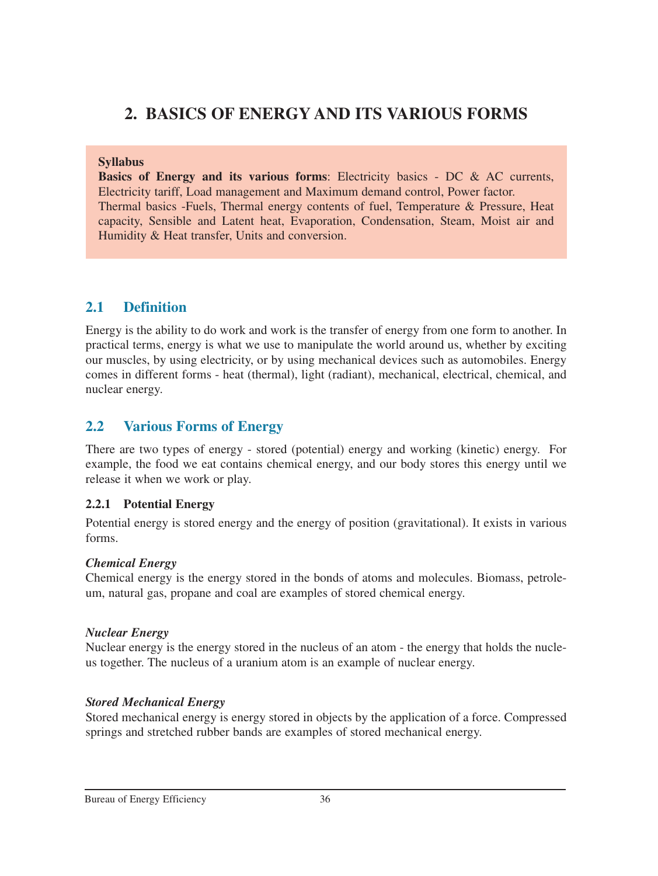# **2. BASICS OF ENERGY AND ITS VARIOUS FORMS**

#### **Syllabus**

**Basics of Energy and its various forms**: Electricity basics - DC & AC currents, Electricity tariff, Load management and Maximum demand control, Power factor. Thermal basics -Fuels, Thermal energy contents of fuel, Temperature & Pressure, Heat capacity, Sensible and Latent heat, Evaporation, Condensation, Steam, Moist air and Humidity & Heat transfer, Units and conversion.

# **2.1 Definition**

Energy is the ability to do work and work is the transfer of energy from one form to another. In practical terms, energy is what we use to manipulate the world around us, whether by exciting our muscles, by using electricity, or by using mechanical devices such as automobiles. Energy comes in different forms - heat (thermal), light (radiant), mechanical, electrical, chemical, and nuclear energy.

# **2.2 Various Forms of Energy**

There are two types of energy - stored (potential) energy and working (kinetic) energy. For example, the food we eat contains chemical energy, and our body stores this energy until we release it when we work or play.

#### **2.2.1 Potential Energy**

Potential energy is stored energy and the energy of position (gravitational). It exists in various forms.

#### *Chemical Energy*

Chemical energy is the energy stored in the bonds of atoms and molecules. Biomass, petroleum, natural gas, propane and coal are examples of stored chemical energy.

#### *Nuclear Energy*

Nuclear energy is the energy stored in the nucleus of an atom - the energy that holds the nucleus together. The nucleus of a uranium atom is an example of nuclear energy.

#### *Stored Mechanical Energy*

Stored mechanical energy is energy stored in objects by the application of a force. Compressed springs and stretched rubber bands are examples of stored mechanical energy.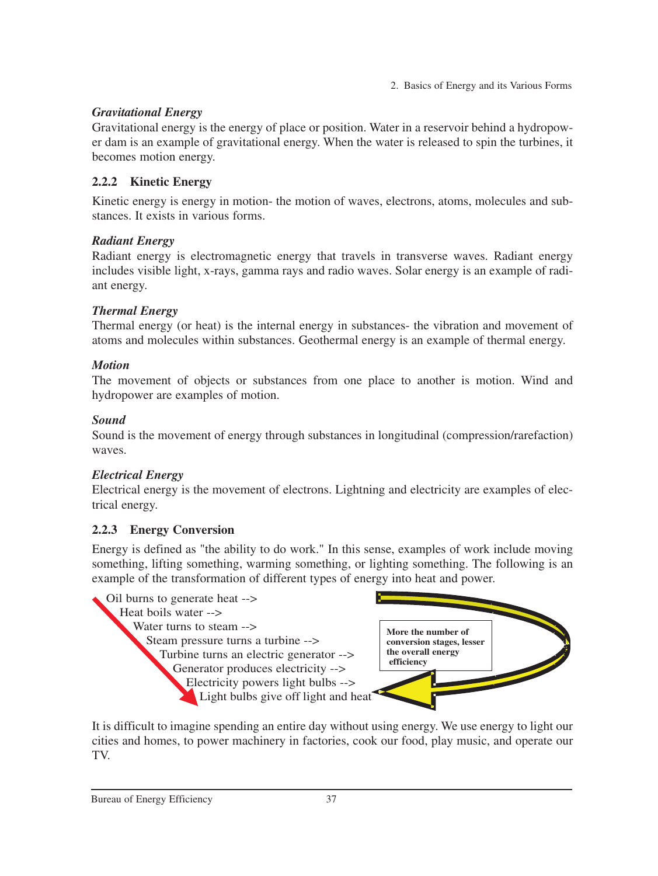## *Gravitational Energy*

Gravitational energy is the energy of place or position. Water in a reservoir behind a hydropower dam is an example of gravitational energy. When the water is released to spin the turbines, it becomes motion energy.

## **2.2.2 Kinetic Energy**

Kinetic energy is energy in motion- the motion of waves, electrons, atoms, molecules and substances. It exists in various forms.

## *Radiant Energy*

Radiant energy is electromagnetic energy that travels in transverse waves. Radiant energy includes visible light, x-rays, gamma rays and radio waves. Solar energy is an example of radiant energy.

## *Thermal Energy*

Thermal energy (or heat) is the internal energy in substances- the vibration and movement of atoms and molecules within substances. Geothermal energy is an example of thermal energy.

## *Motion*

The movement of objects or substances from one place to another is motion. Wind and hydropower are examples of motion.

## *Sound*

Sound is the movement of energy through substances in longitudinal (compression/rarefaction) waves.

## *Electrical Energy*

Electrical energy is the movement of electrons. Lightning and electricity are examples of electrical energy.

## **2.2.3 Energy Conversion**

Energy is defined as "the ability to do work." In this sense, examples of work include moving something, lifting something, warming something, or lighting something. The following is an example of the transformation of different types of energy into heat and power.



It is difficult to imagine spending an entire day without using energy. We use energy to light our cities and homes, to power machinery in factories, cook our food, play music, and operate our TV.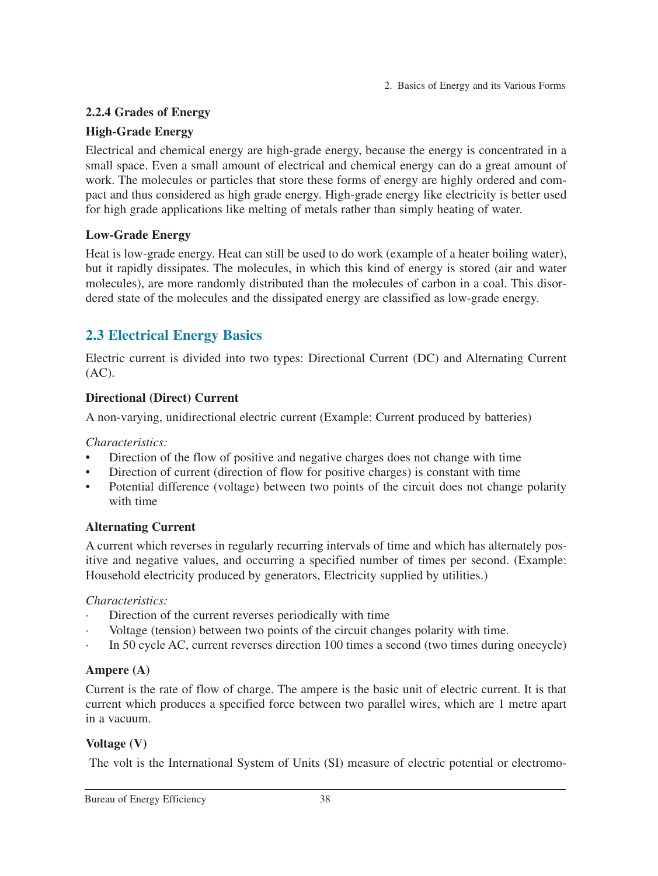## **2.2.4 Grades of Energy**

## **High-Grade Energy**

Electrical and chemical energy are high-grade energy, because the energy is concentrated in a small space. Even a small amount of electrical and chemical energy can do a great amount of work. The molecules or particles that store these forms of energy are highly ordered and compact and thus considered as high grade energy. High-grade energy like electricity is better used for high grade applications like melting of metals rather than simply heating of water.

## **Low-Grade Energy**

Heat is low-grade energy. Heat can still be used to do work (example of a heater boiling water), but it rapidly dissipates. The molecules, in which this kind of energy is stored (air and water molecules), are more randomly distributed than the molecules of carbon in a coal. This disordered state of the molecules and the dissipated energy are classified as low-grade energy.

# **2.3 Electrical Energy Basics**

Electric current is divided into two types: Directional Current (DC) and Alternating Current  $(AC).$ 

# **Directional (Direct) Current**

A non-varying, unidirectional electric current (Example: Current produced by batteries)

## *Characteristics:*

- **•** Direction of the flow of positive and negative charges does not change with time
- Direction of current (direction of flow for positive charges) is constant with time
- Potential difference (voltage) between two points of the circuit does not change polarity with time

# **Alternating Current**

A current which reverses in regularly recurring intervals of time and which has alternately positive and negative values, and occurring a specified number of times per second. (Example: Household electricity produced by generators, Electricity supplied by utilities.)

## *Characteristics:*

- Direction of the current reverses periodically with time
- Voltage (tension) between two points of the circuit changes polarity with time.
- · In 50 cycle AC, current reverses direction 100 times a second (two times during onecycle)

# **Ampere (A)**

Current is the rate of flow of charge. The ampere is the basic unit of electric current. It is that current which produces a specified force between two parallel wires, which are 1 metre apart in a vacuum.

# **Voltage (V)**

The volt is the International System of Units (SI) measure of electric potential or electromo-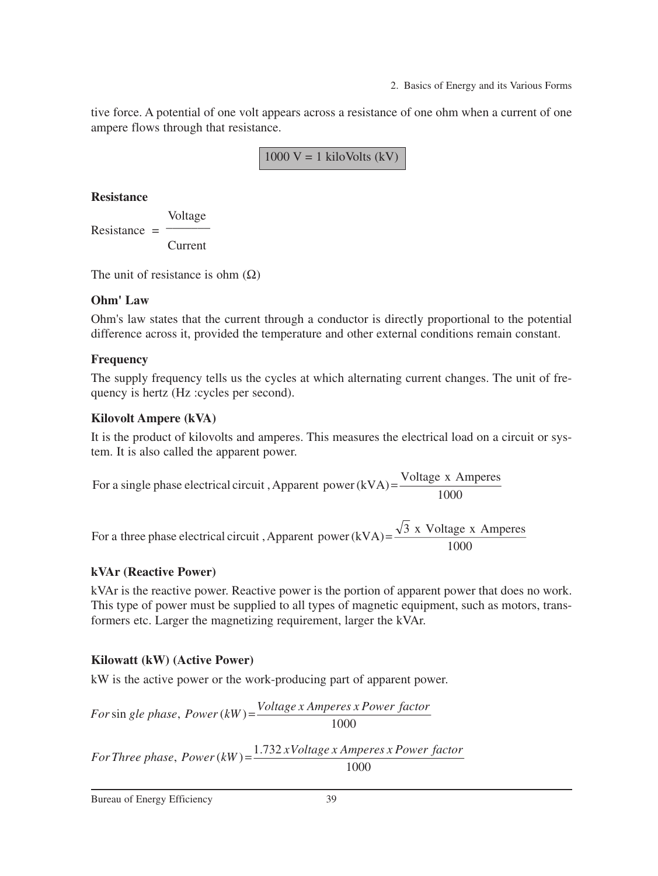tive force. A potential of one volt appears across a resistance of one ohm when a current of one ampere flows through that resistance.

1000  $V = 1$  kiloVolts (kV)

#### **Resistance**

Voltage Resistance  $=$   $-$ Current

The unit of resistance is ohm  $(\Omega)$ 

#### **Ohm' Law**

Ohm's law states that the current through a conductor is directly proportional to the potential difference across it, provided the temperature and other external conditions remain constant.

## **Frequency**

The supply frequency tells us the cycles at which alternating current changes. The unit of frequency is hertz (Hz :cycles per second).

#### **Kilovolt Ampere (kVA)**

It is the product of kilovolts and amperes. This measures the electrical load on a circuit or system. It is also called the apparent power.

1000 For a single phase electrical circuit, Apparent power(kVA)= $\frac{\text{Voltage x Amperes}}{\text{LOQ}}$ 

1000 For a three phase electrical circuit, Apparent power(kVA)= $\frac{\sqrt{3} \times \text{Voltage} \times \text{Amperes}}{1000}$ 

#### **kVAr (Reactive Power)**

kVAr is the reactive power. Reactive power is the portion of apparent power that does no work. This type of power must be supplied to all types of magnetic equipment, such as motors, transformers etc. Larger the magnetizing requirement, larger the kVAr.

#### **Kilowatt (kW) (Active Power)**

kW is the active power or the work-producing part of apparent power.

1000  $For \sin$  gle phase,  $Power(kW) = \frac{Voltage \times Amperes \times Power \cdot factor}{1.000}$ 

1000  $For Three phase, Power (kW) = \frac{1.732 x Voltage x Amperes x Power factor}{1.732 x Voltage x Amperes x Power factor}$ 

Bureau of Energy Efficiency 39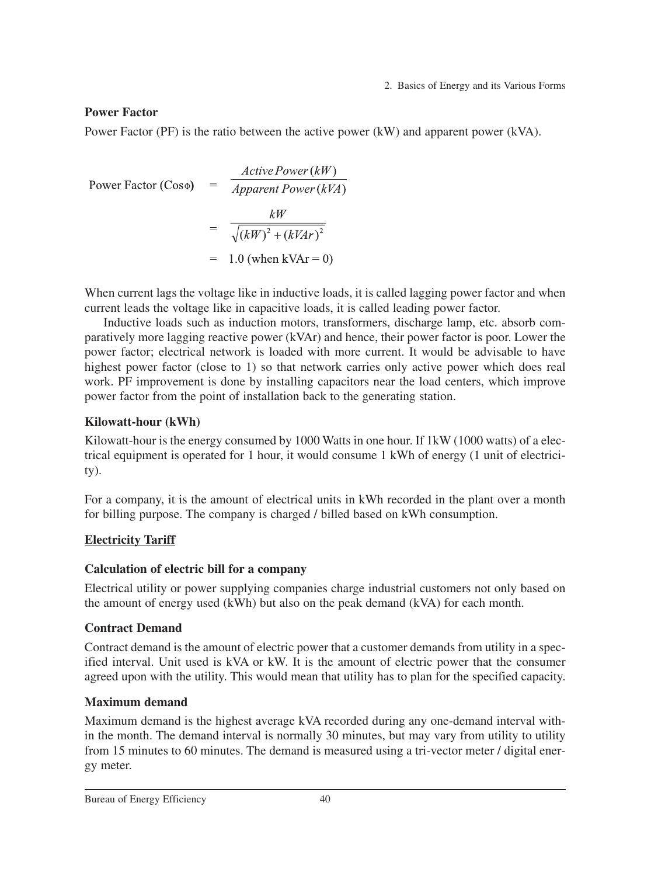### **Power Factor**

Power Factor (PF) is the ratio between the active power (kW) and apparent power (kVA).

Power Factor (Cos
$$
\Phi
$$
) = 
$$
\frac{Active Power(kW)}{Apparent Power(kVA)}
$$
  
= 
$$
\frac{kW}{\sqrt{(kW)^2 + (kVAr)^2}}
$$
  
= 1.0 (when kVar = 0)

When current lags the voltage like in inductive loads, it is called lagging power factor and when current leads the voltage like in capacitive loads, it is called leading power factor.

Inductive loads such as induction motors, transformers, discharge lamp, etc. absorb comparatively more lagging reactive power (kVAr) and hence, their power factor is poor. Lower the power factor; electrical network is loaded with more current. It would be advisable to have highest power factor (close to 1) so that network carries only active power which does real work. PF improvement is done by installing capacitors near the load centers, which improve power factor from the point of installation back to the generating station.

## **Kilowatt-hour (kWh)**

Kilowatt-hour is the energy consumed by 1000 Watts in one hour. If 1kW (1000 watts) of a electrical equipment is operated for 1 hour, it would consume 1 kWh of energy (1 unit of electricity).

For a company, it is the amount of electrical units in kWh recorded in the plant over a month for billing purpose. The company is charged / billed based on kWh consumption.

## **Electricity Tariff**

## **Calculation of electric bill for a company**

Electrical utility or power supplying companies charge industrial customers not only based on the amount of energy used (kWh) but also on the peak demand (kVA) for each month.

# **Contract Demand**

Contract demand is the amount of electric power that a customer demands from utility in a specified interval. Unit used is kVA or kW. It is the amount of electric power that the consumer agreed upon with the utility. This would mean that utility has to plan for the specified capacity.

# **Maximum demand**

Maximum demand is the highest average kVA recorded during any one-demand interval within the month. The demand interval is normally 30 minutes, but may vary from utility to utility from 15 minutes to 60 minutes. The demand is measured using a tri-vector meter / digital energy meter.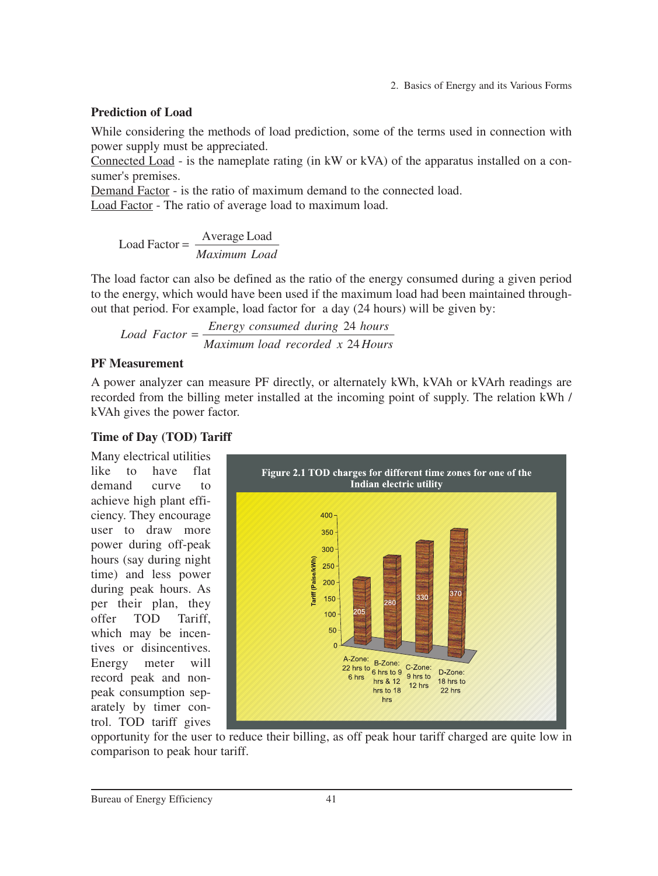#### **Prediction of Load**

While considering the methods of load prediction, some of the terms used in connection with power supply must be appreciated.

Connected Load - is the nameplate rating (in kW or kVA) of the apparatus installed on a consumer's premises.

Demand Factor - is the ratio of maximum demand to the connected load.

Load Factor - The ratio of average load to maximum load.

*Maximum Load* Load Factor =  $\frac{\text{Average Load}}{\text{Mean to the original image}}$ 

The load factor can also be defined as the ratio of the energy consumed during a given period to the energy, which would have been used if the maximum load had been maintained throughout that period. For example, load factor for a day (24 hours) will be given by:

*Maximum load recorded x 24 Hours Energy consumed during hours Load Factor* 24  $=\frac{Energy\ consumed\ during\ 24}{24}$ 

#### **PF Measurement**

A power analyzer can measure PF directly, or alternately kWh, kVAh or kVArh readings are recorded from the billing meter installed at the incoming point of supply. The relation kWh / kVAh gives the power factor.

#### **Time of Day (TOD) Tariff**

Many electrical utilities like to have flat demand curve to achieve high plant efficiency. They encourage user to draw more power during off-peak hours (say during night time) and less power during peak hours. As per their plan, they offer TOD Tariff, which may be incentives or disincentives. Energy meter will record peak and nonpeak consumption separately by timer control. TOD tariff gives



opportunity for the user to reduce their billing, as off peak hour tariff charged are quite low in comparison to peak hour tariff.

Bureau of Energy Efficiency 41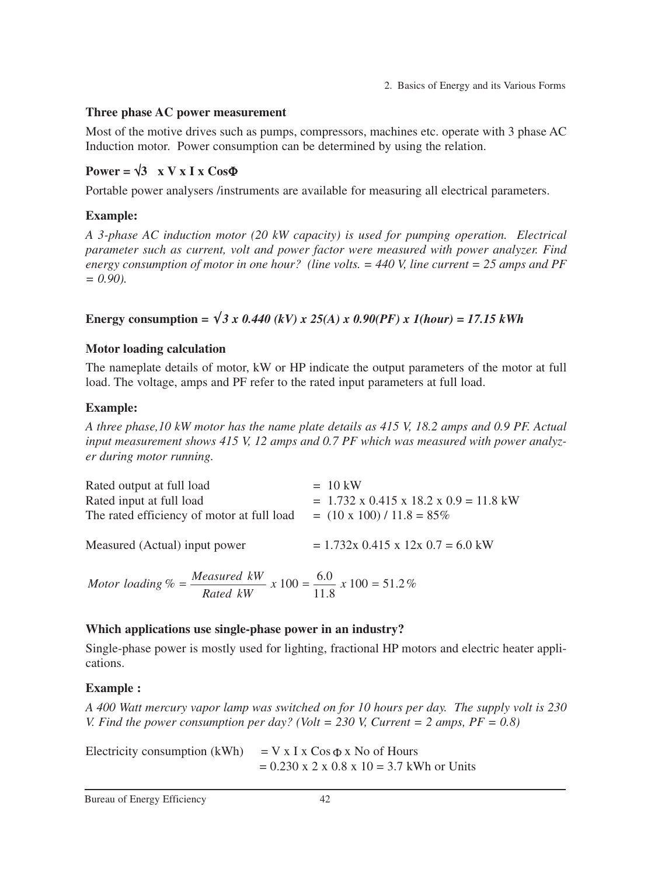## **Three phase AC power measurement**

Most of the motive drives such as pumps, compressors, machines etc. operate with 3 phase AC Induction motor. Power consumption can be determined by using the relation.

# $Power = \sqrt{3}$  x V x I x Cos $\Phi$

Portable power analysers /instruments are available for measuring all electrical parameters.

# **Example:**

*A 3-phase AC induction motor (20 kW capacity) is used for pumping operation. Electrical parameter such as current, volt and power factor were measured with power analyzer. Find energy consumption of motor in one hour? (line volts. = 440 V, line current = 25 amps and PF = 0.90).*

**Energy consumption =**  $\sqrt{3}$  *x* 0.440 (kV) *x* 25(A) *x* 0.90(PF) *x* 1(hour) = 17.15 kWh

## **Motor loading calculation**

The nameplate details of motor, kW or HP indicate the output parameters of the motor at full load. The voltage, amps and PF refer to the rated input parameters at full load.

# **Example:**

*A three phase,10 kW motor has the name plate details as 415 V, 18.2 amps and 0.9 PF. Actual input measurement shows 415 V, 12 amps and 0.7 PF which was measured with power analyzer during motor running.*

| Rated output at full load                                                                               | $= 10 \text{ kW}$                                       |
|---------------------------------------------------------------------------------------------------------|---------------------------------------------------------|
| Rated input at full load                                                                                | $= 1.732 \times 0.415 \times 18.2 \times 0.9 = 11.8$ kW |
| The rated efficiency of motor at full load                                                              | $= (10 \times 100) / 11.8 = 85\%$                       |
| Measured (Actual) input power                                                                           | $= 1.732x$ 0.415 x 12x 0.7 = 6.0 kW                     |
| Motor loading $\% = \frac{Measured \ kW}{Rated \ kW} \times 100 = \frac{6.0}{11.8} \times 100 = 51.2\%$ |                                                         |

## **Which applications use single-phase power in an industry?**

Single-phase power is mostly used for lighting, fractional HP motors and electric heater applications.

# **Example :**

*A 400 Watt mercury vapor lamp was switched on for 10 hours per day. The supply volt is 230 V. Find the power consumption per day? (Volt = 230 V, Current = 2 amps, PF = 0.8)*

Electricity consumption (kWh) =  $V \times I \times \cos \Phi \times$  No of Hours  $= 0.230 \times 2 \times 0.8 \times 10 = 3.7$  kWh or Units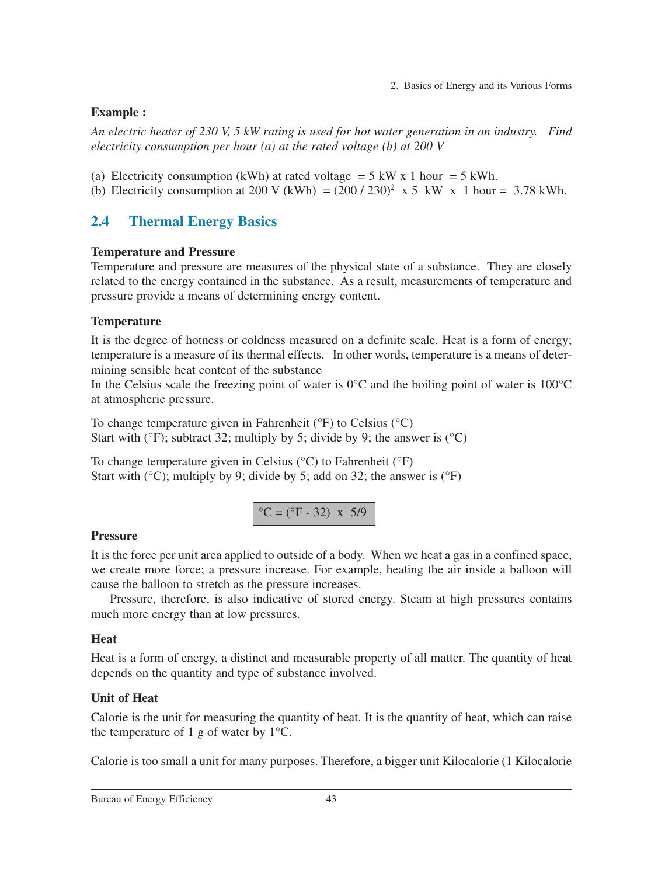#### **Example :**

*An electric heater of 230 V, 5 kW rating is used for hot water generation in an industry. Find electricity consumption per hour (a) at the rated voltage (b) at 200 V*

- (a) Electricity consumption (kWh) at rated voltage  $= 5 \text{ kW} \times 1 \text{ hour} = 5 \text{ kWh}$ .
- (b) Electricity consumption at 200 V (kWh) =  $(200 / 230)^2$  x 5 kW x 1 hour = 3.78 kWh.

# **2.4 Thermal Energy Basics**

#### **Temperature and Pressure**

Temperature and pressure are measures of the physical state of a substance. They are closely related to the energy contained in the substance. As a result, measurements of temperature and pressure provide a means of determining energy content.

#### **Temperature**

It is the degree of hotness or coldness measured on a definite scale. Heat is a form of energy; temperature is a measure of its thermal effects. In other words, temperature is a means of determining sensible heat content of the substance

In the Celsius scale the freezing point of water is  $0^{\circ}$ C and the boiling point of water is  $100^{\circ}$ C at atmospheric pressure.

To change temperature given in Fahrenheit (°F) to Celsius (°C) Start with ( ${}^{\circ}$ F); subtract 32; multiply by 5; divide by 9; the answer is ( ${}^{\circ}$ C)

To change temperature given in Celsius (°C) to Fahrenheit (°F) Start with ( $^{\circ}$ C); multiply by 9; divide by 5; add on 32; the answer is ( $^{\circ}$ F)

$$
^{\circ}
$$
C = ( $^{\circ}$ F - 32) x 5/9

#### **Pressure**

It is the force per unit area applied to outside of a body. When we heat a gas in a confined space, we create more force; a pressure increase. For example, heating the air inside a balloon will cause the balloon to stretch as the pressure increases.

Pressure, therefore, is also indicative of stored energy. Steam at high pressures contains much more energy than at low pressures.

#### **Heat**

Heat is a form of energy, a distinct and measurable property of all matter. The quantity of heat depends on the quantity and type of substance involved.

#### **Unit of Heat**

Calorie is the unit for measuring the quantity of heat. It is the quantity of heat, which can raise the temperature of 1 g of water by  $1^{\circ}C$ .

Calorie is too small a unit for many purposes. Therefore, a bigger unit Kilocalorie (1 Kilocalorie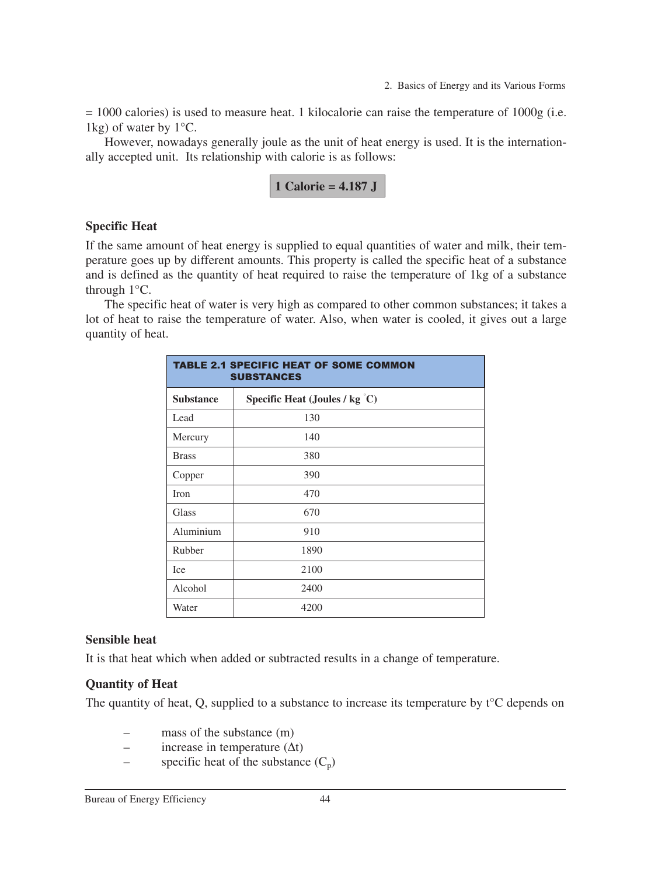= 1000 calories) is used to measure heat. 1 kilocalorie can raise the temperature of 1000g (i.e. 1kg) of water by  $1^{\circ}$ C.

However, nowadays generally joule as the unit of heat energy is used. It is the internationally accepted unit. Its relationship with calorie is as follows:

$$
1 Calorie = 4.187 J
$$

#### **Specific Heat**

If the same amount of heat energy is supplied to equal quantities of water and milk, their temperature goes up by different amounts. This property is called the specific heat of a substance and is defined as the quantity of heat required to raise the temperature of 1kg of a substance through 1°C.

The specific heat of water is very high as compared to other common substances; it takes a lot of heat to raise the temperature of water. Also, when water is cooled, it gives out a large quantity of heat.

| <b>TABLE 2.1 SPECIFIC HEAT OF SOME COMMON</b><br><b>SUBSTANCES</b> |      |  |  |
|--------------------------------------------------------------------|------|--|--|
| Specific Heat (Joules / kg $\degree$ C)<br><b>Substance</b>        |      |  |  |
| Lead                                                               | 130  |  |  |
| Mercury                                                            | 140  |  |  |
| <b>Brass</b>                                                       | 380  |  |  |
| Copper                                                             | 390  |  |  |
| Iron                                                               | 470  |  |  |
| Glass                                                              | 670  |  |  |
| Aluminium                                                          | 910  |  |  |
| Rubber                                                             | 1890 |  |  |
| Ice                                                                | 2100 |  |  |
| Alcohol                                                            | 2400 |  |  |
| Water                                                              | 4200 |  |  |

#### **Sensible heat**

It is that heat which when added or subtracted results in a change of temperature.

#### **Quantity of Heat**

The quantity of heat, Q, supplied to a substance to increase its temperature by t<sup>o</sup>C depends on

- mass of the substance  $(m)$
- increase in temperature  $(∆t)$
- specific heat of the substance  $(C_p)$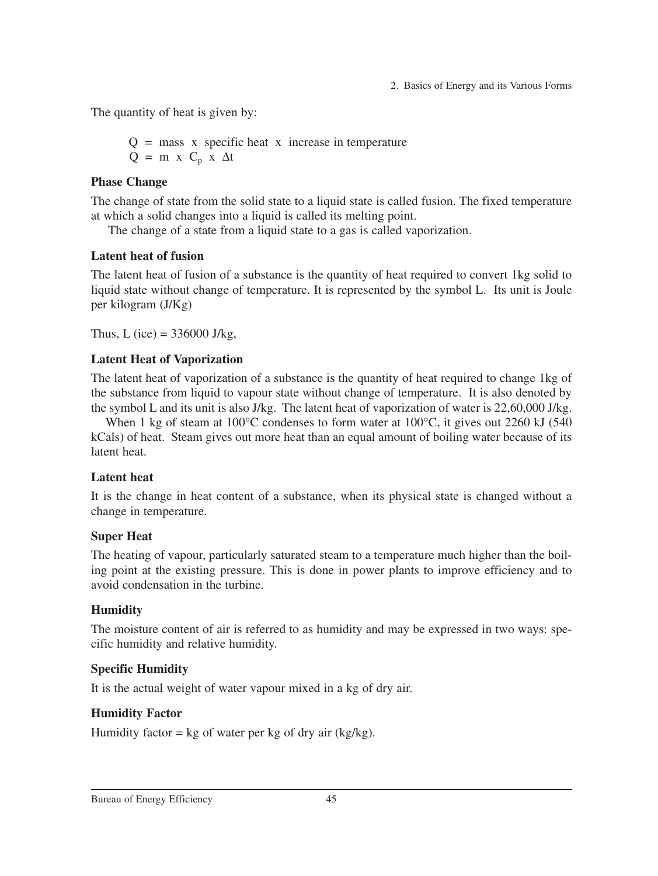The quantity of heat is given by:

 $Q =$  mass x specific heat x increase in temperature  $Q = m x C_p x \Delta t$ 

### **Phase Change**

The change of state from the solid state to a liquid state is called fusion. The fixed temperature at which a solid changes into a liquid is called its melting point.

The change of a state from a liquid state to a gas is called vaporization.

#### **Latent heat of fusion**

The latent heat of fusion of a substance is the quantity of heat required to convert 1kg solid to liquid state without change of temperature. It is represented by the symbol L. Its unit is Joule per kilogram (J/Kg)

Thus, L (ice) =  $336000$  J/kg,

## **Latent Heat of Vaporization**

The latent heat of vaporization of a substance is the quantity of heat required to change 1kg of the substance from liquid to vapour state without change of temperature. It is also denoted by the symbol L and its unit is also J/kg. The latent heat of vaporization of water is 22,60,000 J/kg.

When 1 kg of steam at  $100^{\circ}$ C condenses to form water at  $100^{\circ}$ C, it gives out 2260 kJ (540) kCals) of heat. Steam gives out more heat than an equal amount of boiling water because of its latent heat.

## **Latent heat**

It is the change in heat content of a substance, when its physical state is changed without a change in temperature.

## **Super Heat**

The heating of vapour, particularly saturated steam to a temperature much higher than the boiling point at the existing pressure. This is done in power plants to improve efficiency and to avoid condensation in the turbine.

## **Humidity**

The moisture content of air is referred to as humidity and may be expressed in two ways: specific humidity and relative humidity.

## **Specific Humidity**

It is the actual weight of water vapour mixed in a kg of dry air.

## **Humidity Factor**

Humidity factor =  $kg$  of water per kg of dry air (kg/kg).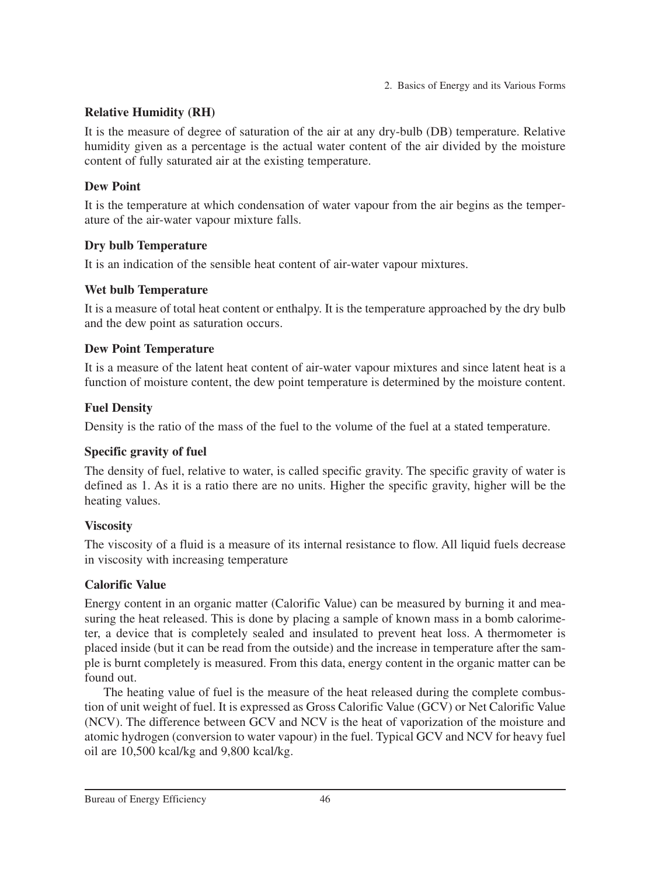### **Relative Humidity (RH)**

It is the measure of degree of saturation of the air at any dry-bulb (DB) temperature. Relative humidity given as a percentage is the actual water content of the air divided by the moisture content of fully saturated air at the existing temperature.

## **Dew Point**

It is the temperature at which condensation of water vapour from the air begins as the temperature of the air-water vapour mixture falls.

## **Dry bulb Temperature**

It is an indication of the sensible heat content of air-water vapour mixtures.

## **Wet bulb Temperature**

It is a measure of total heat content or enthalpy. It is the temperature approached by the dry bulb and the dew point as saturation occurs.

## **Dew Point Temperature**

It is a measure of the latent heat content of air-water vapour mixtures and since latent heat is a function of moisture content, the dew point temperature is determined by the moisture content.

## **Fuel Density**

Density is the ratio of the mass of the fuel to the volume of the fuel at a stated temperature.

## **Specific gravity of fuel**

The density of fuel, relative to water, is called specific gravity. The specific gravity of water is defined as 1. As it is a ratio there are no units. Higher the specific gravity, higher will be the heating values.

## **Viscosity**

The viscosity of a fluid is a measure of its internal resistance to flow. All liquid fuels decrease in viscosity with increasing temperature

## **Calorific Value**

Energy content in an organic matter (Calorific Value) can be measured by burning it and measuring the heat released. This is done by placing a sample of known mass in a bomb calorimeter, a device that is completely sealed and insulated to prevent heat loss. A thermometer is placed inside (but it can be read from the outside) and the increase in temperature after the sample is burnt completely is measured. From this data, energy content in the organic matter can be found out.

The heating value of fuel is the measure of the heat released during the complete combustion of unit weight of fuel. It is expressed as Gross Calorific Value (GCV) or Net Calorific Value (NCV). The difference between GCV and NCV is the heat of vaporization of the moisture and atomic hydrogen (conversion to water vapour) in the fuel. Typical GCV and NCV for heavy fuel oil are 10,500 kcal/kg and 9,800 kcal/kg.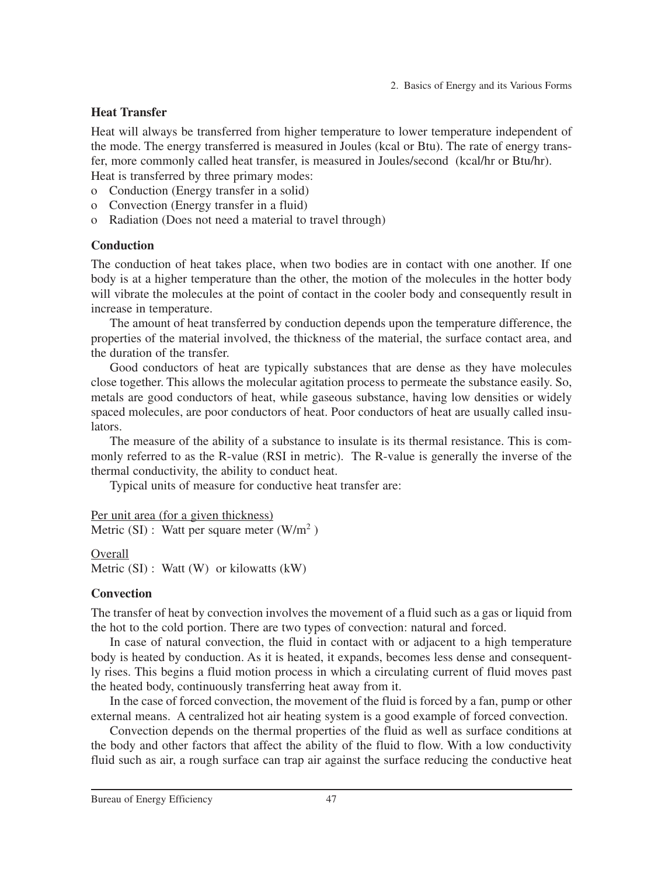#### **Heat Transfer**

Heat will always be transferred from higher temperature to lower temperature independent of the mode. The energy transferred is measured in Joules (kcal or Btu). The rate of energy transfer, more commonly called heat transfer, is measured in Joules/second (kcal/hr or Btu/hr). Heat is transferred by three primary modes:

- o Conduction (Energy transfer in a solid)
- o Convection (Energy transfer in a fluid)
- o Radiation (Does not need a material to travel through)

#### **Conduction**

The conduction of heat takes place, when two bodies are in contact with one another. If one body is at a higher temperature than the other, the motion of the molecules in the hotter body will vibrate the molecules at the point of contact in the cooler body and consequently result in increase in temperature.

The amount of heat transferred by conduction depends upon the temperature difference, the properties of the material involved, the thickness of the material, the surface contact area, and the duration of the transfer.

Good conductors of heat are typically substances that are dense as they have molecules close together. This allows the molecular agitation process to permeate the substance easily. So, metals are good conductors of heat, while gaseous substance, having low densities or widely spaced molecules, are poor conductors of heat. Poor conductors of heat are usually called insulators.

The measure of the ability of a substance to insulate is its thermal resistance. This is commonly referred to as the R-value (RSI in metric). The R-value is generally the inverse of the thermal conductivity, the ability to conduct heat.

Typical units of measure for conductive heat transfer are:

```
Per unit area (for a given thickness)
Metric (SI): Watt per square meter (W/m<sup>2</sup>)
```
Overall Metric (SI) : Watt (W) or kilowatts (kW)

#### **Convection**

The transfer of heat by convection involves the movement of a fluid such as a gas or liquid from the hot to the cold portion. There are two types of convection: natural and forced.

In case of natural convection, the fluid in contact with or adjacent to a high temperature body is heated by conduction. As it is heated, it expands, becomes less dense and consequently rises. This begins a fluid motion process in which a circulating current of fluid moves past the heated body, continuously transferring heat away from it.

In the case of forced convection, the movement of the fluid is forced by a fan, pump or other external means. A centralized hot air heating system is a good example of forced convection.

Convection depends on the thermal properties of the fluid as well as surface conditions at the body and other factors that affect the ability of the fluid to flow. With a low conductivity fluid such as air, a rough surface can trap air against the surface reducing the conductive heat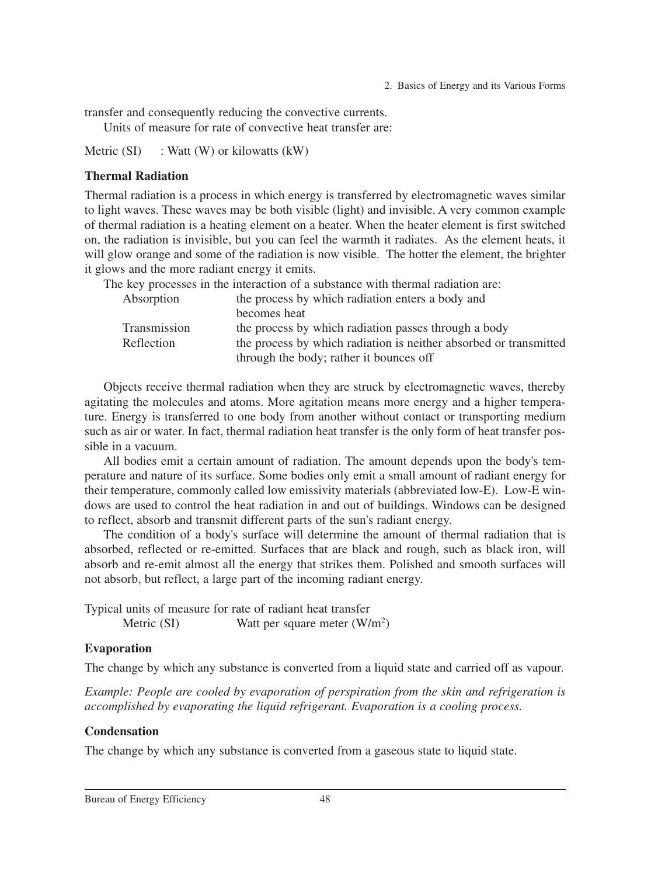transfer and consequently reducing the convective currents.

Units of measure for rate of convective heat transfer are:

Metric  $(SI)$  : Watt  $(W)$  or kilowatts  $(kW)$ 

#### **Thermal Radiation**

Thermal radiation is a process in which energy is transferred by electromagnetic waves similar to light waves. These waves may be both visible (light) and invisible. A very common example of thermal radiation is a heating element on a heater. When the heater element is first switched on, the radiation is invisible, but you can feel the warmth it radiates. As the element heats, it will glow orange and some of the radiation is now visible. The hotter the element, the brighter it glows and the more radiant energy it emits.

The key processes in the interaction of a substance with thermal radiation are:

| Absorption   | the process by which radiation enters a body and                  |
|--------------|-------------------------------------------------------------------|
|              | becomes heat                                                      |
| Transmission | the process by which radiation passes through a body              |
| Reflection   | the process by which radiation is neither absorbed or transmitted |
|              | through the body; rather it bounces off                           |
|              |                                                                   |

Objects receive thermal radiation when they are struck by electromagnetic waves, thereby agitating the molecules and atoms. More agitation means more energy and a higher temperature. Energy is transferred to one body from another without contact or transporting medium such as air or water. In fact, thermal radiation heat transfer is the only form of heat transfer possible in a vacuum.

All bodies emit a certain amount of radiation. The amount depends upon the body's temperature and nature of its surface. Some bodies only emit a small amount of radiant energy for their temperature, commonly called low emissivity materials (abbreviated low-E). Low-E windows are used to control the heat radiation in and out of buildings. Windows can be designed to reflect, absorb and transmit different parts of the sun's radiant energy.

The condition of a body's surface will determine the amount of thermal radiation that is absorbed, reflected or re-emitted. Surfaces that are black and rough, such as black iron, will absorb and re-emit almost all the energy that strikes them. Polished and smooth surfaces will not absorb, but reflect, a large part of the incoming radiant energy.

Typical units of measure for rate of radiant heat transfer Metric (SI) Watt per square meter  $(W/m^2)$ 

#### **Evaporation**

The change by which any substance is converted from a liquid state and carried off as vapour.

*Example: People are cooled by evaporation of perspiration from the skin and refrigeration is accomplished by evaporating the liquid refrigerant. Evaporation is a cooling process.*

#### **Condensation**

The change by which any substance is converted from a gaseous state to liquid state.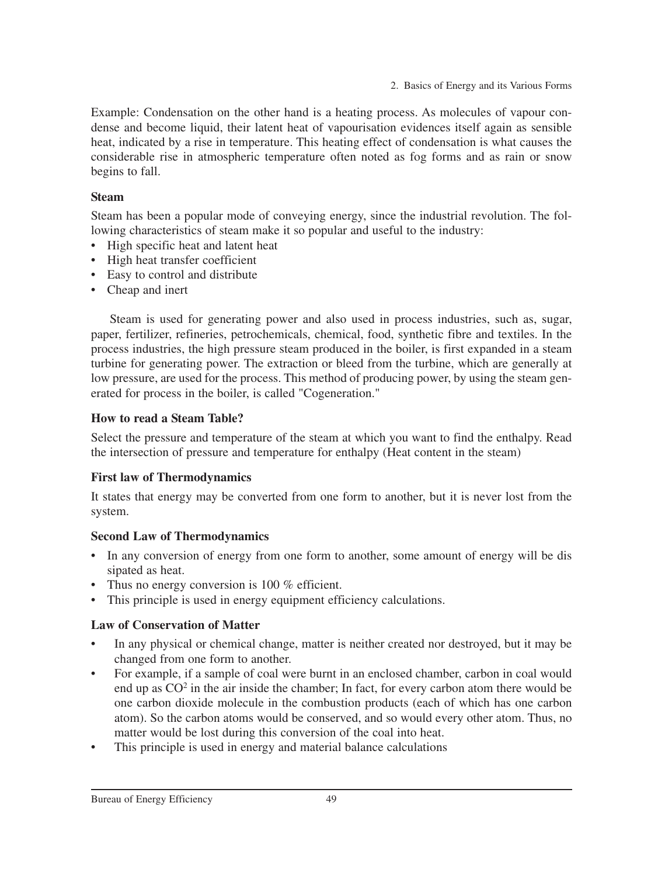Example: Condensation on the other hand is a heating process. As molecules of vapour condense and become liquid, their latent heat of vapourisation evidences itself again as sensible heat, indicated by a rise in temperature. This heating effect of condensation is what causes the considerable rise in atmospheric temperature often noted as fog forms and as rain or snow begins to fall.

### **Steam**

Steam has been a popular mode of conveying energy, since the industrial revolution. The following characteristics of steam make it so popular and useful to the industry:

- High specific heat and latent heat
- High heat transfer coefficient
- Easy to control and distribute
- Cheap and inert

Steam is used for generating power and also used in process industries, such as, sugar, paper, fertilizer, refineries, petrochemicals, chemical, food, synthetic fibre and textiles. In the process industries, the high pressure steam produced in the boiler, is first expanded in a steam turbine for generating power. The extraction or bleed from the turbine, which are generally at low pressure, are used for the process. This method of producing power, by using the steam generated for process in the boiler, is called "Cogeneration."

## **How to read a Steam Table?**

Select the pressure and temperature of the steam at which you want to find the enthalpy. Read the intersection of pressure and temperature for enthalpy (Heat content in the steam)

#### **First law of Thermodynamics**

It states that energy may be converted from one form to another, but it is never lost from the system.

## **Second Law of Thermodynamics**

- In any conversion of energy from one form to another, some amount of energy will be dis sipated as heat.
- Thus no energy conversion is 100 % efficient.
- This principle is used in energy equipment efficiency calculations.

## **Law of Conservation of Matter**

- In any physical or chemical change, matter is neither created nor destroyed, but it may be changed from one form to another.
- For example, if a sample of coal were burnt in an enclosed chamber, carbon in coal would end up as  $CO<sup>2</sup>$  in the air inside the chamber; In fact, for every carbon atom there would be one carbon dioxide molecule in the combustion products (each of which has one carbon atom). So the carbon atoms would be conserved, and so would every other atom. Thus, no matter would be lost during this conversion of the coal into heat.
- This principle is used in energy and material balance calculations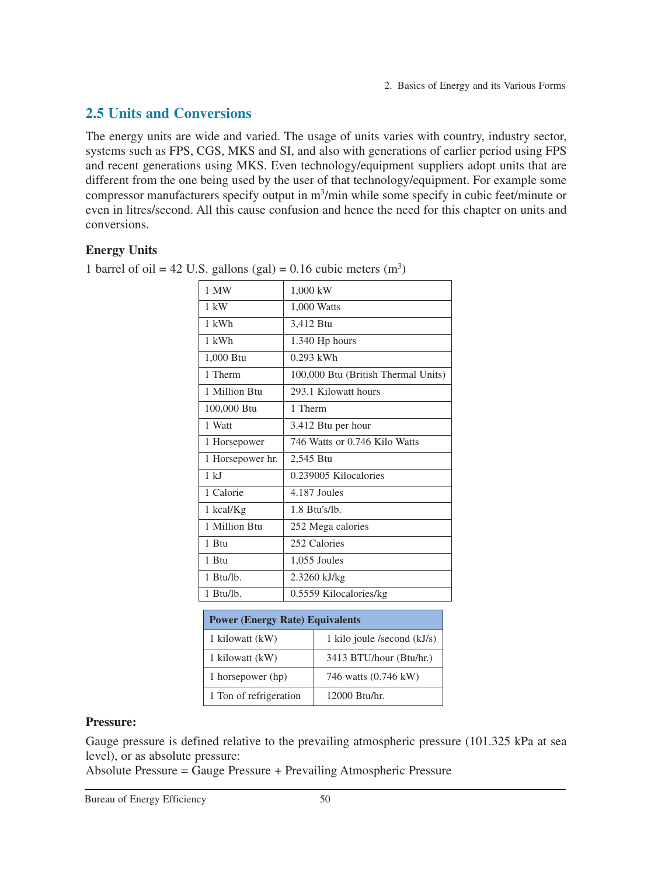# **2.5 Units and Conversions**

The energy units are wide and varied. The usage of units varies with country, industry sector, systems such as FPS, CGS, MKS and SI, and also with generations of earlier period using FPS and recent generations using MKS. Even technology/equipment suppliers adopt units that are different from the one being used by the user of that technology/equipment. For example some compressor manufacturers specify output in m<sup>3</sup>/min while some specify in cubic feet/minute or even in litres/second. All this cause confusion and hence the need for this chapter on units and conversions.

#### **Energy Units**

| 1 MW             | 1,000 kW                            |
|------------------|-------------------------------------|
| $1 \text{ kW}$   | 1,000 Watts                         |
| $1$ kWh          | 3,412 Btu                           |
| $1$ kWh          | 1.340 Hp hours                      |
| 1,000 Btu        | $0.293$ kWh                         |
| 1 Therm          | 100,000 Btu (British Thermal Units) |
| 1 Million Btu    | 293.1 Kilowatt hours                |
| 100,000 Btu      | 1 Therm                             |
| 1 Watt           | 3.412 Btu per hour                  |
| 1 Horsepower     | 746 Watts or 0.746 Kilo Watts       |
| 1 Horsepower hr. | 2,545 Btu                           |
| 1 kJ             | 0.239005 Kilocalories               |
| 1 Calorie        | 4.187 Joules                        |
| 1 kcal/Kg        | $1.8$ Btu's/lb.                     |
| 1 Million Btu    | 252 Mega calories                   |
| 1 Btu            | 252 Calories                        |
| 1 Btu            | 1,055 Joules                        |
| 1 Btu/lb.        | 2.3260 kJ/kg                        |
| 1 Btu/lb.        | 0.5559 Kilocalories/kg              |
|                  |                                     |

1 barrel of oil = 42 U.S. gallons (gal) =  $0.16$  cubic meters (m<sup>3</sup>)

| <b>Power (Energy Rate) Equivalents</b> |                               |  |  |
|----------------------------------------|-------------------------------|--|--|
| 1 kilowatt (kW)                        | 1 kilo joule /second $(kJ/s)$ |  |  |
| 1 kilowatt (kW)                        | 3413 BTU/hour (Btu/hr.)       |  |  |
| 1 horsepower (hp)                      | 746 watts (0.746 kW)          |  |  |
| 1 Ton of refrigeration                 | 12000 Btu/hr.                 |  |  |

#### **Pressure:**

Gauge pressure is defined relative to the prevailing atmospheric pressure (101.325 kPa at sea level), or as absolute pressure:

Absolute Pressure = Gauge Pressure + Prevailing Atmospheric Pressure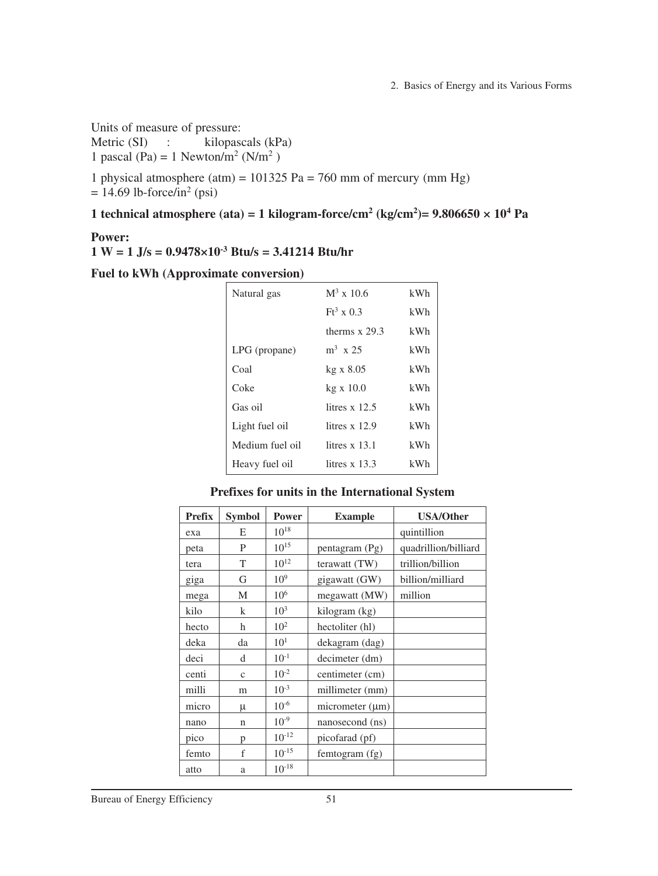Units of measure of pressure:

Metric (SI) : kilopascals (kPa) 1 pascal (Pa) = 1 Newton/m<sup>2</sup> (N/m<sup>2</sup>)

1 physical atmosphere (atm) =  $101325$  Pa = 760 mm of mercury (mm Hg)  $= 14.69$  lb-force/in<sup>2</sup> (psi)

#### **1** technical atmosphere (ata) = 1 kilogram-force/cm<sup>2</sup> (kg/cm<sup>2</sup>)=  $9.806650 \times 10^4$  Pa

#### **Power:**

**1 W = 1 J/s = 0.9478×10-3 Btu/s = 3.41214 Btu/hr**

**Fuel to kWh (Approximate conversion)**

| Natural gas     | $M^3$ x 10.6      | kWh |
|-----------------|-------------------|-----|
|                 | $Ft^3 \times 0.3$ | kWh |
|                 | therms $x$ 29.3   | kWh |
| LPG (propane)   | $m^3$ x 25        | kWh |
| Coal            | $kg \times 8.05$  | kWh |
| Coke            | $kg \times 10.0$  | kWh |
| Gas oil         | litres $x$ 12.5   | kWh |
| Light fuel oil  | litres $x$ 12.9   | kWh |
| Medium fuel oil | litres $x$ 13.1   | kWh |
| Heavy fuel oil  | litres $x$ 13.3   | kWh |

**Prefixes for units in the International System**

| <b>Prefix</b> | <b>Symbol</b> | <b>Power</b>    | <b>Example</b>       | <b>USA/Other</b>     |  |
|---------------|---------------|-----------------|----------------------|----------------------|--|
| exa           | E             | $10^{18}$       |                      | quintillion          |  |
| peta          | P             | $10^{15}$       | pentagram (Pg)       | quadrillion/billiard |  |
| tera          | T             | $10^{12}$       | terawatt (TW)        | trillion/billion     |  |
| giga          | G             | 10 <sup>9</sup> | gigawatt (GW)        | billion/milliard     |  |
| mega          | M             | $10^{6}$        | megawatt (MW)        | million              |  |
| kilo          | k             | $10^{3}$        | kilogram (kg)        |                      |  |
| hecto         | h             | $10^{2}$        | hectoliter (hl)      |                      |  |
| deka          | da            | 10 <sup>1</sup> | dekagram (dag)       |                      |  |
| deci          | d             | $10^{-1}$       | decimeter (dm)       |                      |  |
| centi         | $\mathbf{c}$  | $10^{-2}$       | centimeter (cm)      |                      |  |
| milli         | m             | $10^{-3}$       | millimeter (mm)      |                      |  |
| micro         | μ             | $10^{-6}$       | micrometer $(\mu m)$ |                      |  |
| nano          | n             | $10^{-9}$       | nanosecond (ns)      |                      |  |
| pico          | p             | $10^{-12}$      | picofarad (pf)       |                      |  |
| femto         | f             | $10^{-15}$      | femtogram (fg)       |                      |  |
| atto          | a             | $10^{-18}$      |                      |                      |  |

Bureau of Energy Efficiency 51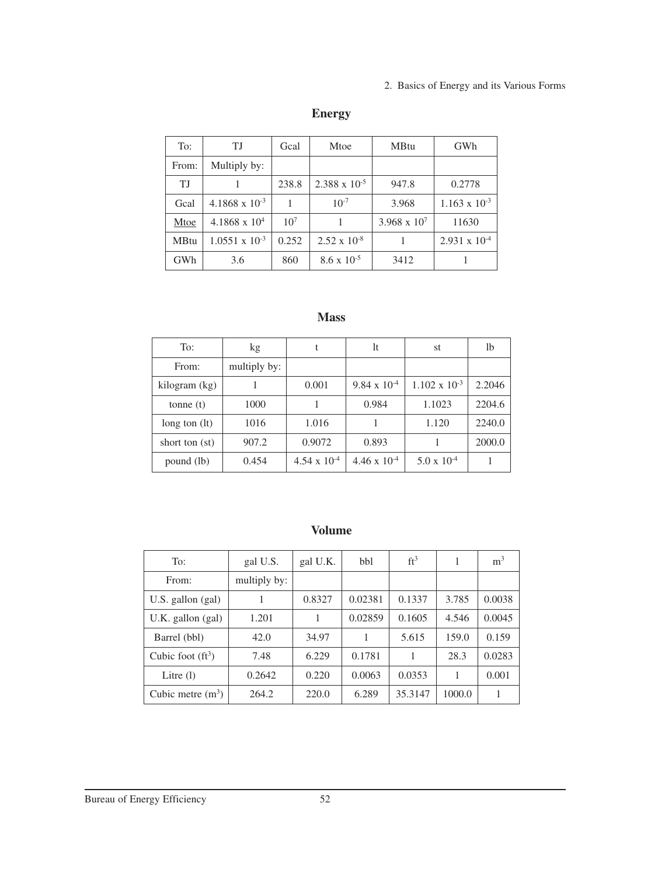| To:         | TJ                      | Gcal            | Mtoe                   | <b>MBtu</b>           | GWh                    |
|-------------|-------------------------|-----------------|------------------------|-----------------------|------------------------|
| From:       | Multiply by:            |                 |                        |                       |                        |
| TJ.         |                         | 238.8           | $2.388 \times 10^{-5}$ | 947.8                 | 0.2778                 |
| Gcal        | $4.1868 \times 10^{-3}$ | 1               | $10^{-7}$              | 3.968                 | $1.163 \times 10^{-3}$ |
| Mtoe        | $4.1868 \times 10^{4}$  | 10 <sup>7</sup> |                        | $3.968 \times 10^{7}$ | 11630                  |
| <b>MBtu</b> | $1.0551 \times 10^{-3}$ | 0.252           | $2.52 \times 10^{-8}$  |                       | $2.931 \times 10^{-4}$ |
| GWh         | 3.6                     | 860             | $8.6 \times 10^{-5}$   | 3412                  |                        |

## **Energy**

#### **Mass**

| To:             | kg           | t                     | 1t                    | st                     | 1b     |
|-----------------|--------------|-----------------------|-----------------------|------------------------|--------|
| From:           | multiply by: |                       |                       |                        |        |
| kilogram (kg)   |              | 0.001                 | $9.84 \times 10^{-4}$ | $1.102 \times 10^{-3}$ | 2.2046 |
| tonne $(t)$     | 1000         |                       | 0.984                 | 1.1023                 | 2204.6 |
| long ton $(lt)$ | 1016         | 1.016                 |                       | 1.120                  | 2240.0 |
| short ton (st)  | 907.2        | 0.9072                | 0.893                 |                        | 2000.0 |
| pound (lb)      | 0.454        | $4.54 \times 10^{-4}$ | $4.46 \times 10^{-4}$ | $5.0 \times 10^{-4}$   |        |

#### **Volume**

| To:                   | gal U.S.     | gal U.K. | bbl     | $ft^3$  |        | m <sup>3</sup> |
|-----------------------|--------------|----------|---------|---------|--------|----------------|
| From:                 | multiply by: |          |         |         |        |                |
| U.S. gallon $(gal)$   |              | 0.8327   | 0.02381 | 0.1337  | 3.785  | 0.0038         |
| $U.K.$ gallon $(gal)$ | 1.201        | 1        | 0.02859 | 0.1605  | 4.546  | 0.0045         |
| Barrel (bbl)          | 42.0         | 34.97    |         | 5.615   | 159.0  | 0.159          |
| Cubic foot $(ft^3)$   | 7.48         | 6.229    | 0.1781  | 1       | 28.3   | 0.0283         |
| Litre $(l)$           | 0.2642       | 0.220    | 0.0063  | 0.0353  |        | 0.001          |
| Cubic metre $(m^3)$   | 264.2        | 220.0    | 6.289   | 35.3147 | 1000.0 |                |